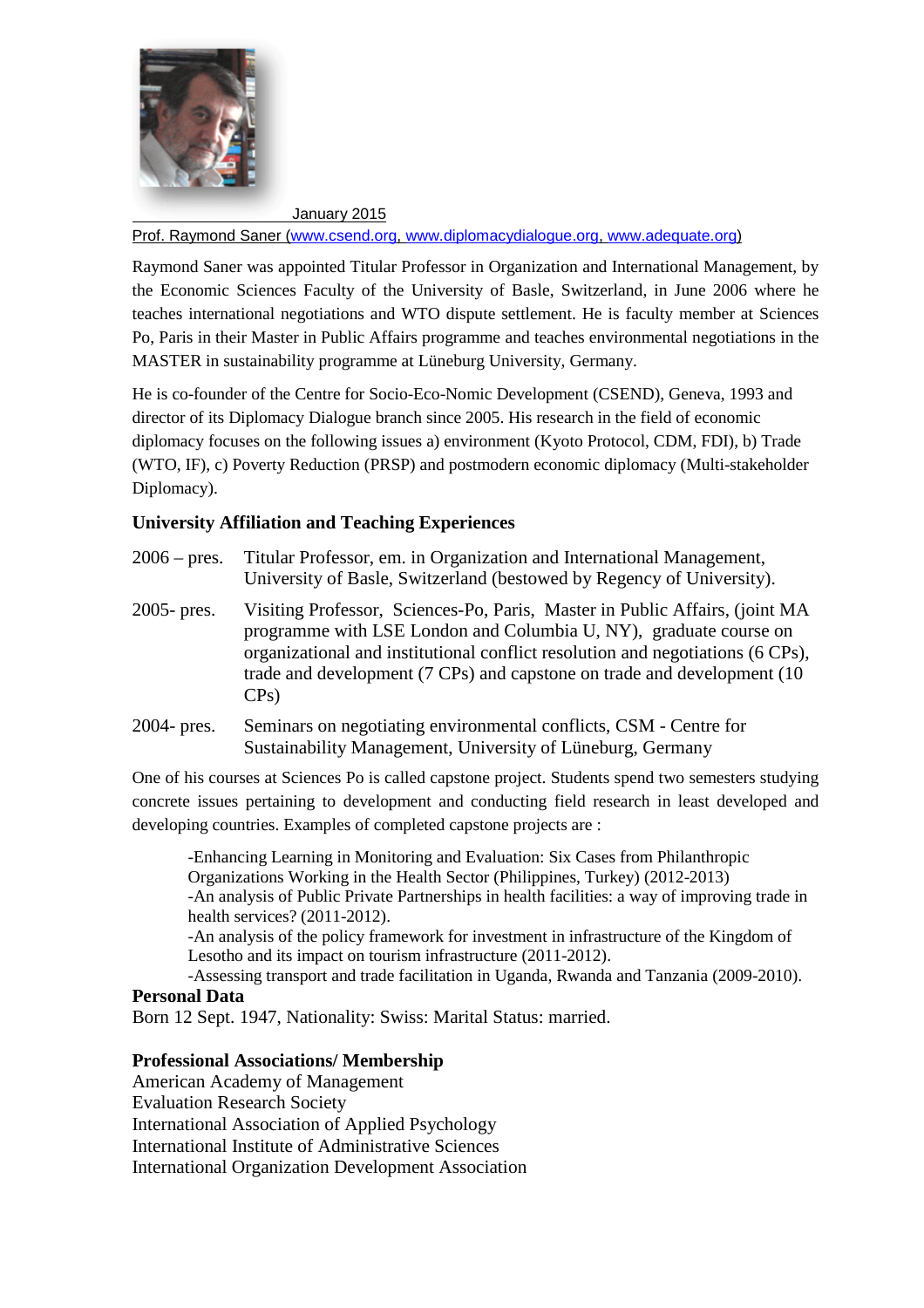

January 2015

Prof. Raymond Saner (www.csend.org, www.diplomacydialogue.org, www.adequate.org)

Raymond Saner was appointed Titular Professor in Organization and International Management, by the Economic Sciences Faculty of the University of Basle, Switzerland, in June 2006 where he teaches international negotiations and WTO dispute settlement. He is faculty member at Sciences Po, Paris in their Master in Public Affairs programme and teaches environmental negotiations in the MASTER in sustainability programme at Lüneburg University, Germany.

He is co-founder of the Centre for Socio-Eco-Nomic Development (CSEND), Geneva, 1993 and director of its Diplomacy Dialogue branch since 2005. His research in the field of economic diplomacy focuses on the following issues a) environment (Kyoto Protocol, CDM, FDI), b) Trade (WTO, IF), c) Poverty Reduction (PRSP) and postmodern economic diplomacy (Multi-stakeholder Diplomacy).

# **University Affiliation and Teaching Experiences**

| $2006 - \text{pres.}$ | Titular Professor, em. in Organization and International Management,<br>University of Basle, Switzerland (bestowed by Regency of University).                                                                                                                                                                            |
|-----------------------|--------------------------------------------------------------------------------------------------------------------------------------------------------------------------------------------------------------------------------------------------------------------------------------------------------------------------|
| 2005- pres.           | Visiting Professor, Sciences-Po, Paris, Master in Public Affairs, (joint MA<br>programme with LSE London and Columbia U, NY), graduate course on<br>organizational and institutional conflict resolution and negotiations (6 CPs),<br>trade and development (7 CPs) and capstone on trade and development (10<br>$CPs$ ) |
| 2004- pres.           | Seminars on negotiating environmental conflicts, CSM - Centre for<br>Sustainability Management, University of Lüneburg, Germany                                                                                                                                                                                          |

One of his courses at Sciences Po is called capstone project. Students spend two semesters studying concrete issues pertaining to development and conducting field research in least developed and developing countries. Examples of completed capstone projects are :

-Enhancing Learning in Monitoring and Evaluation: Six Cases from Philanthropic Organizations Working in the Health Sector (Philippines, Turkey) (2012-2013) -An analysis of Public Private Partnerships in health facilities: a way of improving trade in health services? (2011-2012).

-An analysis of the policy framework for investment in infrastructure of the Kingdom of Lesotho and its impact on tourism infrastructure (2011-2012).

-Assessing transport and trade facilitation in Uganda, Rwanda and Tanzania (2009-2010).

#### **Personal Data**

Born 12 Sept. 1947, Nationality: Swiss: Marital Status: married.

#### **Professional Associations/ Membership**

American Academy of Management Evaluation Research Society International Association of Applied Psychology International Institute of Administrative Sciences International Organization Development Association